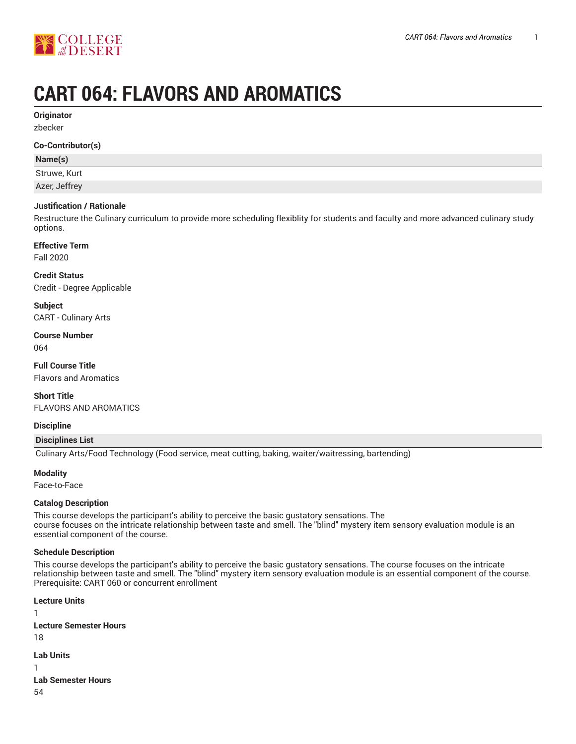

# **CART 064: FLAVORS AND AROMATICS**

**Originator**

zbecker

#### **Co-Contributor(s)**

# **Name(s)**

Struwe, Kurt

Azer, Jeffrey

# **Justification / Rationale**

Restructure the Culinary curriculum to provide more scheduling flexiblity for students and faculty and more advanced culinary study options.

# **Effective Term**

Fall 2020

**Credit Status**

Credit - Degree Applicable

**Subject** CART - Culinary Arts

**Course Number** 064

**Full Course Title**

Flavors and Aromatics

**Short Title** FLAVORS AND AROMATICS

# **Discipline**

**Disciplines List**

Culinary Arts/Food Technology (Food service, meat cutting, baking, waiter/waitressing, bartending)

**Modality**

Face-to-Face

# **Catalog Description**

This course develops the participant's ability to perceive the basic gustatory sensations. The course focuses on the intricate relationship between taste and smell. The "blind" mystery item sensory evaluation module is an essential component of the course.

# **Schedule Description**

This course develops the participant's ability to perceive the basic gustatory sensations. The course focuses on the intricate relationship between taste and smell. The "blind" mystery item sensory evaluation module is an essential component of the course. Prerequisite: CART 060 or concurrent enrollment

```
Lecture Units
1
Lecture Semester Hours
18
Lab Units
1
Lab Semester Hours
54
```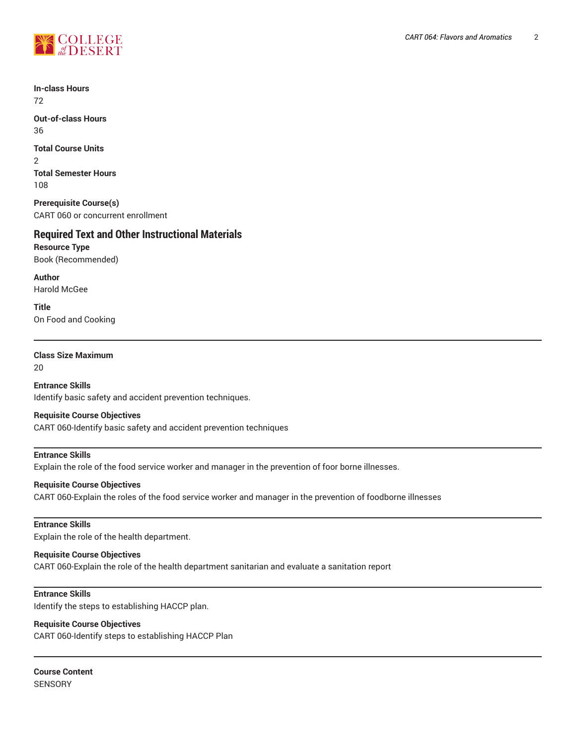

**In-class Hours** 72

**Out-of-class Hours** 36

**Total Course Units** 2 **Total Semester Hours** 108

**Prerequisite Course(s)** CART 060 or concurrent enrollment

# **Required Text and Other Instructional Materials**

**Resource Type** Book (Recommended)

**Author** Harold McGee

**Title** On Food and Cooking

# **Class Size Maximum**

20

**Entrance Skills** Identify basic safety and accident prevention techniques.

# **Requisite Course Objectives**

CART 060-Identify basic safety and accident prevention techniques

# **Entrance Skills**

Explain the role of the food service worker and manager in the prevention of foor borne illnesses.

# **Requisite Course Objectives**

CART 060-Explain the roles of the food service worker and manager in the prevention of foodborne illnesses

#### **Entrance Skills**

Explain the role of the health department.

# **Requisite Course Objectives**

CART 060-Explain the role of the health department sanitarian and evaluate a sanitation report

#### **Entrance Skills**

Identify the steps to establishing HACCP plan.

# **Requisite Course Objectives**

CART 060-Identify steps to establishing HACCP Plan

**Course Content SENSORY**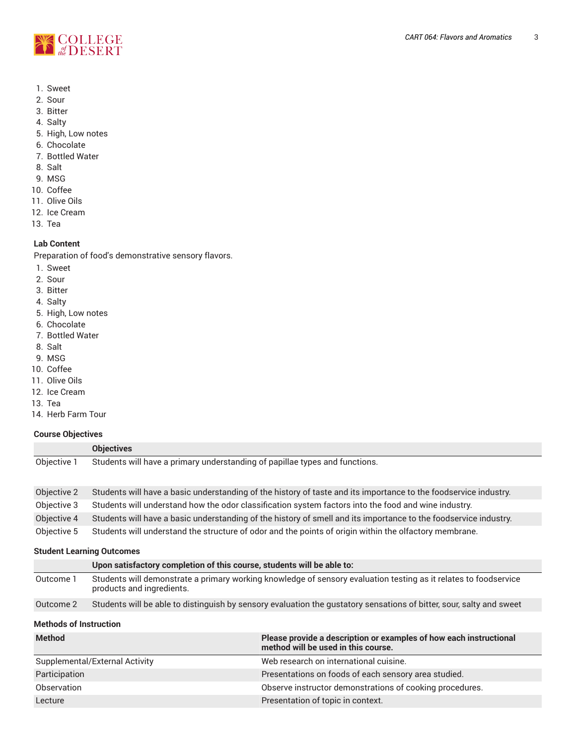

- 1. Sweet
- 2. Sour
- 3. Bitter
- 4. Salty
- 5. High, Low notes
- 6. Chocolate
- 7. Bottled Water
- 8. Salt
- 9. MSG
- 10. Coffee
- 11. Olive Oils
- 12. Ice Cream
- 13. Tea

#### **Lab Content**

Preparation of food's demonstrative sensory flavors.

- 1. Sweet
- 2. Sour
- 3. Bitter
- 4. Salty
- 5. High, Low notes
- 6. Chocolate
- 7. Bottled Water
- 8. Salt
- 9. MSG
- 10. Coffee
- 11. Olive Oils
- 12. Ice Cream
- 13. Tea
- 14. Herb Farm Tour

# **Course Objectives**

|                                  | <b>Objectives</b>                                                                                                                             |  |  |
|----------------------------------|-----------------------------------------------------------------------------------------------------------------------------------------------|--|--|
| Objective 1                      | Students will have a primary understanding of papillae types and functions.                                                                   |  |  |
| Objective 2                      | Students will have a basic understanding of the history of taste and its importance to the foodservice industry.                              |  |  |
| Objective 3                      | Students will understand how the odor classification system factors into the food and wine industry.                                          |  |  |
| Objective 4                      | Students will have a basic understanding of the history of smell and its importance to the foodservice industry.                              |  |  |
| Objective 5                      | Students will understand the structure of odor and the points of origin within the olfactory membrane.                                        |  |  |
| <b>Student Learning Outcomes</b> |                                                                                                                                               |  |  |
|                                  | Upon satisfactory completion of this course, students will be able to:                                                                        |  |  |
| Outcome 1                        | Students will demonstrate a primary working knowledge of sensory evaluation testing as it relates to foodservice<br>products and ingredients. |  |  |

Outcome 2 Students will be able to distinguish by sensory evaluation the gustatory sensations of bitter, sour, salty and sweet

# **Methods of Instruction**

| <b>Method</b>                  | Please provide a description or examples of how each instructional<br>method will be used in this course. |
|--------------------------------|-----------------------------------------------------------------------------------------------------------|
| Supplemental/External Activity | Web research on international cuisine.                                                                    |
| Participation                  | Presentations on foods of each sensory area studied.                                                      |
| Observation                    | Observe instructor demonstrations of cooking procedures.                                                  |
| Lecture                        | Presentation of topic in context.                                                                         |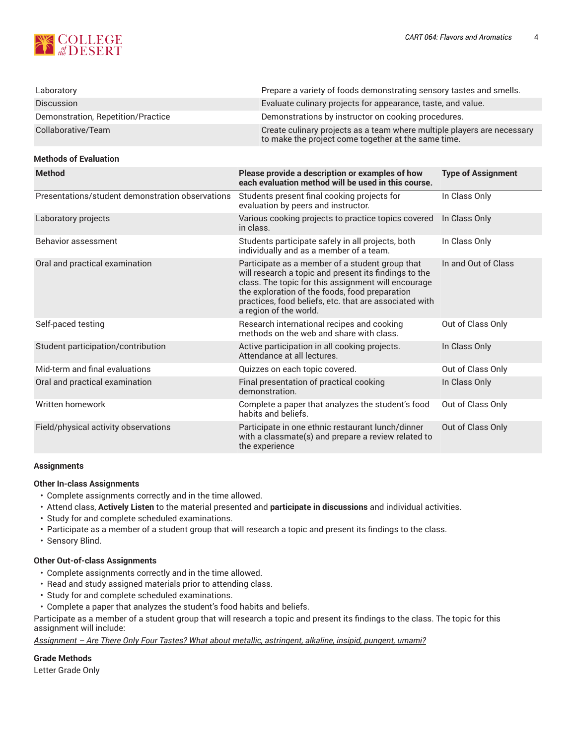

| Laboratory                         | Prepare a variety of foods demonstrating sensory tastes and smells.                                                            |
|------------------------------------|--------------------------------------------------------------------------------------------------------------------------------|
| <b>Discussion</b>                  | Evaluate culinary projects for appearance, taste, and value.                                                                   |
| Demonstration, Repetition/Practice | Demonstrations by instructor on cooking procedures.                                                                            |
| Collaborative/Team                 | Create culinary projects as a team where multiple players are necessary<br>to make the project come together at the same time. |

#### **Methods of Evaluation**

| <b>Method</b>                                    | Please provide a description or examples of how<br>each evaluation method will be used in this course.                                                                                                                                                                                                | <b>Type of Assignment</b> |
|--------------------------------------------------|-------------------------------------------------------------------------------------------------------------------------------------------------------------------------------------------------------------------------------------------------------------------------------------------------------|---------------------------|
| Presentations/student demonstration observations | Students present final cooking projects for<br>evaluation by peers and instructor.                                                                                                                                                                                                                    | In Class Only             |
| Laboratory projects                              | Various cooking projects to practice topics covered<br>in class.                                                                                                                                                                                                                                      | In Class Only             |
| Behavior assessment                              | Students participate safely in all projects, both<br>individually and as a member of a team.                                                                                                                                                                                                          | In Class Only             |
| Oral and practical examination                   | Participate as a member of a student group that<br>will research a topic and present its findings to the<br>class. The topic for this assignment will encourage<br>the exploration of the foods, food preparation<br>practices, food beliefs, etc. that are associated with<br>a region of the world. | In and Out of Class       |
| Self-paced testing                               | Research international recipes and cooking<br>methods on the web and share with class.                                                                                                                                                                                                                | Out of Class Only         |
| Student participation/contribution               | Active participation in all cooking projects.<br>Attendance at all lectures.                                                                                                                                                                                                                          | In Class Only             |
| Mid-term and final evaluations                   | Quizzes on each topic covered.                                                                                                                                                                                                                                                                        | Out of Class Only         |
| Oral and practical examination                   | Final presentation of practical cooking<br>demonstration.                                                                                                                                                                                                                                             | In Class Only             |
| Written homework                                 | Complete a paper that analyzes the student's food<br>habits and beliefs.                                                                                                                                                                                                                              | Out of Class Only         |
| Field/physical activity observations             | Participate in one ethnic restaurant lunch/dinner<br>with a classmate(s) and prepare a review related to<br>the experience                                                                                                                                                                            | Out of Class Only         |

#### **Assignments**

#### **Other In-class Assignments**

- Complete assignments correctly and in the time allowed.
- Attend class, **Actively Listen** to the material presented and **participate in discussions** and individual activities.
- Study for and complete scheduled examinations.
- Participate as a member of a student group that will research a topic and present its findings to the class.
- Sensory Blind.

#### **Other Out-of-class Assignments**

- Complete assignments correctly and in the time allowed.
- Read and study assigned materials prior to attending class.
- Study for and complete scheduled examinations.
- Complete a paper that analyzes the student's food habits and beliefs.

Participate as a member of a student group that will research a topic and present its findings to the class. The topic for this assignment will include:

*Assignment – Are There Only Four Tastes? What about metallic, astringent, alkaline, insipid, pungent, umami?*

#### **Grade Methods**

Letter Grade Only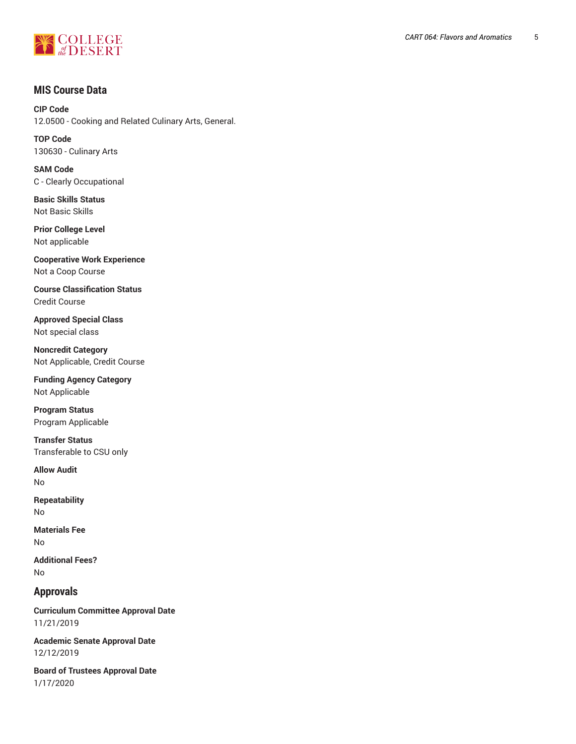

# **MIS Course Data**

**CIP Code** 12.0500 - Cooking and Related Culinary Arts, General.

**TOP Code** 130630 - Culinary Arts

**SAM Code** C - Clearly Occupational

**Basic Skills Status** Not Basic Skills

**Prior College Level** Not applicable

**Cooperative Work Experience** Not a Coop Course

**Course Classification Status** Credit Course

**Approved Special Class** Not special class

**Noncredit Category** Not Applicable, Credit Course

**Funding Agency Category** Not Applicable

**Program Status** Program Applicable

**Transfer Status** Transferable to CSU only

**Allow Audit** No

**Repeatability** No

**Materials Fee** No

**Additional Fees?** No

# **Approvals**

**Curriculum Committee Approval Date** 11/21/2019

**Academic Senate Approval Date** 12/12/2019

**Board of Trustees Approval Date** 1/17/2020